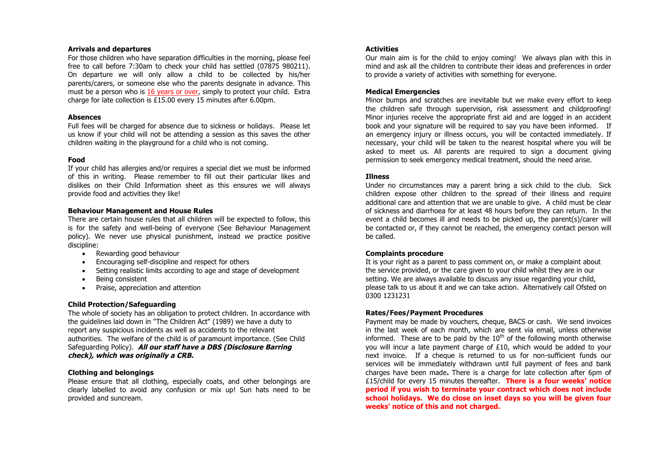#### **Arrivals and departures**

For those children who have separation difficulties in the morning, please feel free to call before 7:30am to check your child has settled (07875 980211). On departure we will only allow a child to be collected by his/her parents/carers, or someone else who the parents designate in advance. This must be a person who is 16 years or over, simply to protect your child. Extra charge for late collection is £15.00 every 15 minutes after 6.00pm.

#### **Absences**

Full fees will be charged for absence due to sickness or holidays. Please let us know if your child will not be attending a session as this saves the other children waiting in the playground for a child who is not coming.

#### **Food**

If your child has allergies and/or requires a special diet we must be informed of this in writing. Please remember to fill out their particular likes and dislikes on their Child Information sheet as this ensures we will always provide food and activities they like!

#### **Behaviour Management and House Rules**

There are certain house rules that all children will be expected to follow, this is for the safety and well-being of everyone (See Behaviour Management policy). We never use physical punishment, instead we practice positive discipline:

- Rewarding good behaviour
- Encouraging self-discipline and respect for others
- Setting realistic limits according to age and stage of development
- Being consistent
- Praise, appreciation and attention

# **Child Protection/Safeguarding**

The whole of society has an obligation to protect children. In accordance with the guidelines laid down in "The Children Act" (1989) we have a duty to report any suspicious incidents as well as accidents to the relevant authorities. The welfare of the child is of paramount importance. (See Child Safeguarding Policy). **All our staff have a DBS (Disclosure Barring check), which was originally a CRB.**

# **Clothing and belongings**

Please ensure that all clothing, especially coats, and other belongings are clearly labelled to avoid any confusion or mix up! Sun hats need to be provided and suncream.

# **Activities**

Our main aim is for the child to enjoy coming! We always plan with this in mind and ask all the children to contribute their ideas and preferences in order to provide a variety of activities with something for everyone.

#### **Medical Emergencies**

Minor bumps and scratches are inevitable but we make every effort to keep the children safe through supervision, risk assessment and childproofing! Minor injuries receive the appropriate first aid and are logged in an accident book and your signature will be required to say you have been informed. If an emergency injury or illness occurs, you will be contacted immediately. If necessary, your child will be taken to the nearest hospital where you will be asked to meet us. All parents are required to sign a document giving permission to seek emergency medical treatment, should the need arise.

# **Illness**

Under no circumstances may a parent bring a sick child to the club. Sick children expose other children to the spread of their illness and require additional care and attention that we are unable to give. A child must be clear of sickness and diarrhoea for at least 48 hours before they can return. In the event a child becomes ill and needs to be picked up, the parent(s)/carer will be contacted or, if they cannot be reached, the emergency contact person will be called.

# **Complaints procedure**

It is your right as a parent to pass comment on, or make a complaint about the service provided, or the care given to your child whilst they are in our setting. We are always available to discuss any issue regarding your child, please talk to us about it and we can take action. Alternatively call Ofsted on 0300 1231231

# **Rates/Fees/Payment Procedures**

Payment may be made by vouchers, cheque, BACS or cash. We send invoices in the last week of each month, which are sent via email, unless otherwise informed. These are to be paid by the  $10<sup>th</sup>$  of the following month otherwise you will incur a late payment charge of  $£10$ , which would be added to your next invoice. If a cheque is returned to us for non-sufficient funds our services will be immediately withdrawn until full payment of fees and bank charges have been made**.** There is a charge for late collection after 6pm of £15/child for every 15 minutes thereafter. **There is a four weeks' notice period if you wish to terminate your contract which does not include school holidays. We do close on inset days so you will be given four weeks' notice of this and not charged.**